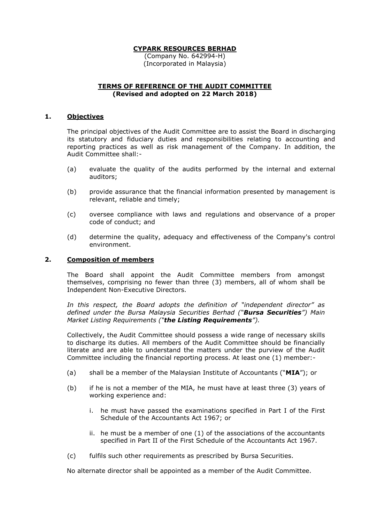(Company No. 642994-H) (Incorporated in Malaysia)

### **TERMS OF REFERENCE OF THE AUDIT COMMITTEE (Revised and adopted on 22 March 2018)**

### **1. Objectives**

The principal objectives of the Audit Committee are to assist the Board in discharging its statutory and fiduciary duties and responsibilities relating to accounting and reporting practices as well as risk management of the Company. In addition, the Audit Committee shall:-

- (a) evaluate the quality of the audits performed by the internal and external auditors;
- (b) provide assurance that the financial information presented by management is relevant, reliable and timely;
- (c) oversee compliance with laws and regulations and observance of a proper code of conduct; and
- (d) determine the quality, adequacy and effectiveness of the Company's control environment.

#### **2. Composition of members**

The Board shall appoint the Audit Committee members from amongst themselves, comprising no fewer than three (3) members, all of whom shall be Independent Non-Executive Directors.

*In this respect, the Board adopts the definition of "independent director" as defined under the Bursa Malaysia Securities Berhad ("Bursa Securities") Main Market Listing Requirements ("the Listing Requirements").*

Collectively, the Audit Committee should possess a wide range of necessary skills to discharge its duties. All members of the Audit Committee should be financially literate and are able to understand the matters under the purview of the Audit Committee including the financial reporting process. At least one (1) member:-

- (a) shall be a member of the Malaysian Institute of Accountants ("**MIA**"); or
- (b) if he is not a member of the MIA, he must have at least three (3) years of working experience and:
	- i. he must have passed the examinations specified in Part I of the First Schedule of the Accountants Act 1967; or
	- ii. he must be a member of one (1) of the associations of the accountants specified in Part II of the First Schedule of the Accountants Act 1967.
- (c) fulfils such other requirements as prescribed by Bursa Securities.

No alternate director shall be appointed as a member of the Audit Committee.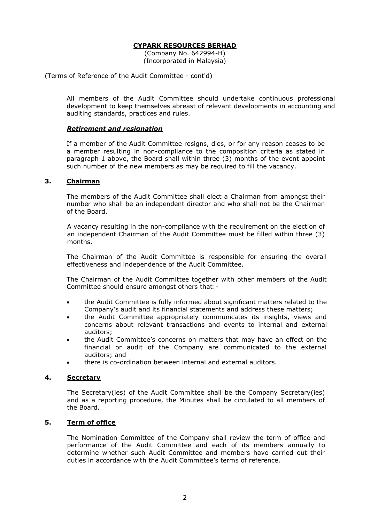(Company No. 642994-H) (Incorporated in Malaysia)

(Terms of Reference of the Audit Committee - cont'd)

All members of the Audit Committee should undertake continuous professional development to keep themselves abreast of relevant developments in accounting and auditing standards, practices and rules.

### *Retirement and resignation*

If a member of the Audit Committee resigns, dies, or for any reason ceases to be a member resulting in non-compliance to the composition criteria as stated in paragraph 1 above, the Board shall within three (3) months of the event appoint such number of the new members as may be required to fill the vacancy.

#### **3. Chairman**

The members of the Audit Committee shall elect a Chairman from amongst their number who shall be an independent director and who shall not be the Chairman of the Board.

A vacancy resulting in the non-compliance with the requirement on the election of an independent Chairman of the Audit Committee must be filled within three (3) months.

The Chairman of the Audit Committee is responsible for ensuring the overall effectiveness and independence of the Audit Committee.

The Chairman of the Audit Committee together with other members of the Audit Committee should ensure amongst others that:-

- the Audit Committee is fully informed about significant matters related to the Company's audit and its financial statements and address these matters;
- the Audit Committee appropriately communicates its insights, views and concerns about relevant transactions and events to internal and external auditors;
- the Audit Committee's concerns on matters that may have an effect on the financial or audit of the Company are communicated to the external auditors; and
- there is co-ordination between internal and external auditors.

### **4. Secretary**

The Secretary(ies) of the Audit Committee shall be the Company Secretary(ies) and as a reporting procedure, the Minutes shall be circulated to all members of the Board.

#### **5. Term of office**

The Nomination Committee of the Company shall review the term of office and performance of the Audit Committee and each of its members annually to determine whether such Audit Committee and members have carried out their duties in accordance with the Audit Committee's terms of reference.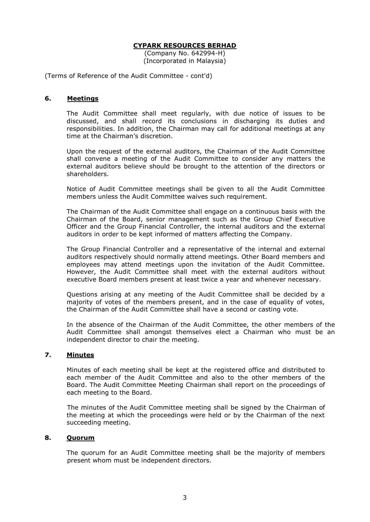(Company No. 642994-H) (Incorporated in Malaysia)

(Terms of Reference of the Audit Committee - cont'd)

#### **6. Meetings**

The Audit Committee shall meet regularly, with due notice of issues to be discussed, and shall record its conclusions in discharging its duties and responsibilities. In addition, the Chairman may call for additional meetings at any time at the Chairman's discretion.

Upon the request of the external auditors, the Chairman of the Audit Committee shall convene a meeting of the Audit Committee to consider any matters the external auditors believe should be brought to the attention of the directors or shareholders.

Notice of Audit Committee meetings shall be given to all the Audit Committee members unless the Audit Committee waives such requirement.

The Chairman of the Audit Committee shall engage on a continuous basis with the Chairman of the Board, senior management such as the Group Chief Executive Officer and the Group Financial Controller, the internal auditors and the external auditors in order to be kept informed of matters affecting the Company.

The Group Financial Controller and a representative of the internal and external auditors respectively should normally attend meetings. Other Board members and employees may attend meetings upon the invitation of the Audit Committee. However, the Audit Committee shall meet with the external auditors without executive Board members present at least twice a year and whenever necessary.

Questions arising at any meeting of the Audit Committee shall be decided by a majority of votes of the members present, and in the case of equality of votes, the Chairman of the Audit Committee shall have a second or casting vote.

In the absence of the Chairman of the Audit Committee, the other members of the Audit Committee shall amongst themselves elect a Chairman who must be an independent director to chair the meeting.

### **7. Minutes**

Minutes of each meeting shall be kept at the registered office and distributed to each member of the Audit Committee and also to the other members of the Board. The Audit Committee Meeting Chairman shall report on the proceedings of each meeting to the Board.

The minutes of the Audit Committee meeting shall be signed by the Chairman of the meeting at which the proceedings were held or by the Chairman of the next succeeding meeting.

### **8. Quorum**

The quorum for an Audit Committee meeting shall be the majority of members present whom must be independent directors.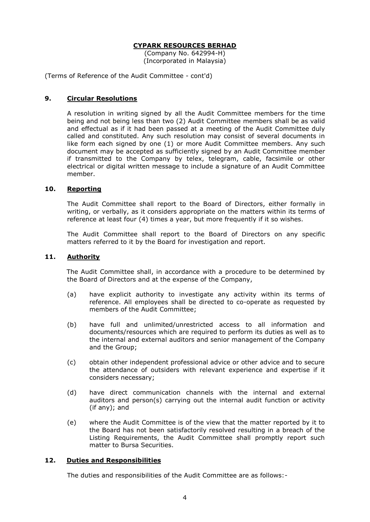(Company No. 642994-H) (Incorporated in Malaysia)

(Terms of Reference of the Audit Committee - cont'd)

## **9. Circular Resolutions**

A resolution in writing signed by all the Audit Committee members for the time being and not being less than two (2) Audit Committee members shall be as valid and effectual as if it had been passed at a meeting of the Audit Committee duly called and constituted. Any such resolution may consist of several documents in like form each signed by one (1) or more Audit Committee members. Any such document may be accepted as sufficiently signed by an Audit Committee member if transmitted to the Company by telex, telegram, cable, facsimile or other electrical or digital written message to include a signature of an Audit Committee member.

## **10. Reporting**

The Audit Committee shall report to the Board of Directors, either formally in writing, or verbally, as it considers appropriate on the matters within its terms of reference at least four (4) times a year, but more frequently if it so wishes.

The Audit Committee shall report to the Board of Directors on any specific matters referred to it by the Board for investigation and report.

#### **11. Authority**

The Audit Committee shall, in accordance with a procedure to be determined by the Board of Directors and at the expense of the Company,

- (a) have explicit authority to investigate any activity within its terms of reference. All employees shall be directed to co-operate as requested by members of the Audit Committee;
- (b) have full and unlimited/unrestricted access to all information and documents/resources which are required to perform its duties as well as to the internal and external auditors and senior management of the Company and the Group;
- (c) obtain other independent professional advice or other advice and to secure the attendance of outsiders with relevant experience and expertise if it considers necessary;
- (d) have direct communication channels with the internal and external auditors and person(s) carrying out the internal audit function or activity (if any); and
- (e) where the Audit Committee is of the view that the matter reported by it to the Board has not been satisfactorily resolved resulting in a breach of the Listing Requirements, the Audit Committee shall promptly report such matter to Bursa Securities.

# **12. Duties and Responsibilities**

The duties and responsibilities of the Audit Committee are as follows:-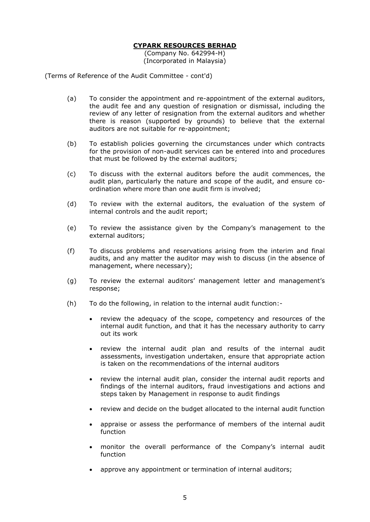(Company No. 642994-H) (Incorporated in Malaysia)

(Terms of Reference of the Audit Committee - cont'd)

- (a) To consider the appointment and re-appointment of the external auditors, the audit fee and any question of resignation or dismissal, including the review of any letter of resignation from the external auditors and whether there is reason (supported by grounds) to believe that the external auditors are not suitable for re-appointment;
- (b) To establish policies governing the circumstances under which contracts for the provision of non-audit services can be entered into and procedures that must be followed by the external auditors;
- (c) To discuss with the external auditors before the audit commences, the audit plan, particularly the nature and scope of the audit, and ensure coordination where more than one audit firm is involved;
- (d) To review with the external auditors, the evaluation of the system of internal controls and the audit report;
- (e) To review the assistance given by the Company's management to the external auditors;
- (f) To discuss problems and reservations arising from the interim and final audits, and any matter the auditor may wish to discuss (in the absence of management, where necessary);
- (g) To review the external auditors' management letter and management's response;
- (h) To do the following, in relation to the internal audit function:
	- review the adequacy of the scope, competency and resources of the internal audit function, and that it has the necessary authority to carry out its work
	- review the internal audit plan and results of the internal audit assessments, investigation undertaken, ensure that appropriate action is taken on the recommendations of the internal auditors
	- review the internal audit plan, consider the internal audit reports and findings of the internal auditors, fraud investigations and actions and steps taken by Management in response to audit findings
	- review and decide on the budget allocated to the internal audit function
	- appraise or assess the performance of members of the internal audit function
	- monitor the overall performance of the Company's internal audit function
	- approve any appointment or termination of internal auditors;